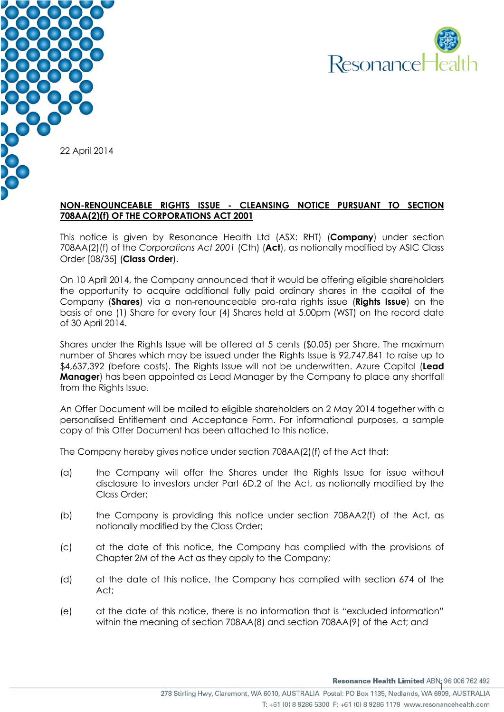



### **NON-RENOUNCEABLE RIGHTS ISSUE - CLEANSING NOTICE PURSUANT TO SECTION 708AA(2)(f) OF THE CORPORATIONS ACT 2001**

This notice is given by Resonance Health Ltd (ASX: RHT) (**Company**) under section 708AA(2)(f) of the *Corporations Act 2001* (Cth) (**Act**), as notionally modified by ASIC Class Order [08/35] (**Class Order**).

On 10 April 2014, the Company announced that it would be offering eligible shareholders the opportunity to acquire additional fully paid ordinary shares in the capital of the Company (**Shares**) via a non-renounceable pro-rata rights issue (**Rights Issue**) on the basis of one (1) Share for every four (4) Shares held at 5.00pm (WST) on the record date of 30 April 2014.

Shares under the Rights Issue will be offered at 5 cents (\$0.05) per Share. The maximum number of Shares which may be issued under the Rights Issue is 92,747,841 to raise up to \$4,637,392 (before costs). The Rights Issue will not be underwritten. Azure Capital (**Lead Manager**) has been appointed as Lead Manager by the Company to place any shortfall from the Rights Issue.

An Offer Document will be mailed to eligible shareholders on 2 May 2014 together with a personalised Entitlement and Acceptance Form. For informational purposes, a sample copy of this Offer Document has been attached to this notice.

The Company hereby gives notice under section 708AA(2)(f) of the Act that:

- (a) the Company will offer the Shares under the Rights Issue for issue without disclosure to investors under Part 6D.2 of the Act, as notionally modified by the Class Order;
- (b) the Company is providing this notice under section 708AA2(f) of the Act, as notionally modified by the Class Order;
- (c) at the date of this notice, the Company has complied with the provisions of Chapter 2M of the Act as they apply to the Company;
- (d) at the date of this notice, the Company has complied with section 674 of the Act;
- (e) at the date of this notice, there is no information that is "excluded information" within the meaning of section 708AA(8) and section 708AA(9) of the Act; and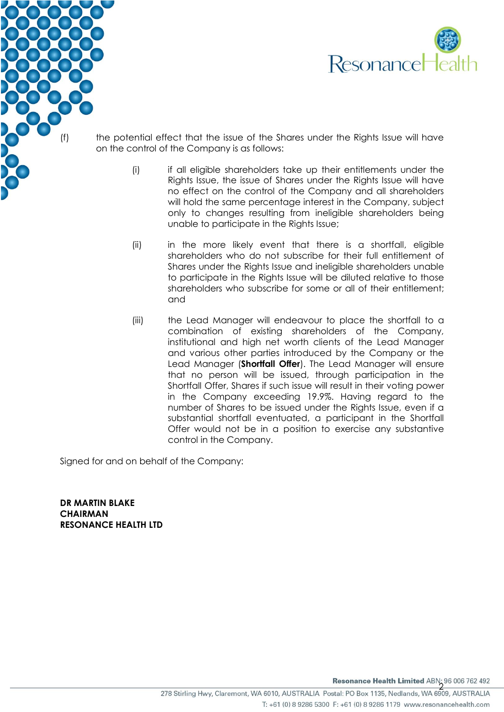

- (f) the potential effect that the issue of the Shares under the Rights Issue will have on the control of the Company is as follows:
	- (i) if all eligible shareholders take up their entitlements under the Rights Issue, the issue of Shares under the Rights Issue will have no effect on the control of the Company and all shareholders will hold the same percentage interest in the Company, subject only to changes resulting from ineligible shareholders being unable to participate in the Rights Issue;
	- (ii) in the more likely event that there is a shortfall, eligible shareholders who do not subscribe for their full entitlement of Shares under the Rights Issue and ineligible shareholders unable to participate in the Rights Issue will be diluted relative to those shareholders who subscribe for some or all of their entitlement; and
	- (iii) the Lead Manager will endeavour to place the shortfall to a combination of existing shareholders of the Company, institutional and high net worth clients of the Lead Manager and various other parties introduced by the Company or the Lead Manager (**Shortfall Offer**). The Lead Manager will ensure that no person will be issued, through participation in the Shortfall Offer, Shares if such issue will result in their voting power in the Company exceeding 19.9%. Having regard to the number of Shares to be issued under the Rights Issue, even if a substantial shortfall eventuated, a participant in the Shortfall Offer would not be in a position to exercise any substantive control in the Company.

Signed for and on behalf of the Company:

**DR MARTIN BLAKE CHAIRMAN RESONANCE HEALTH LTD**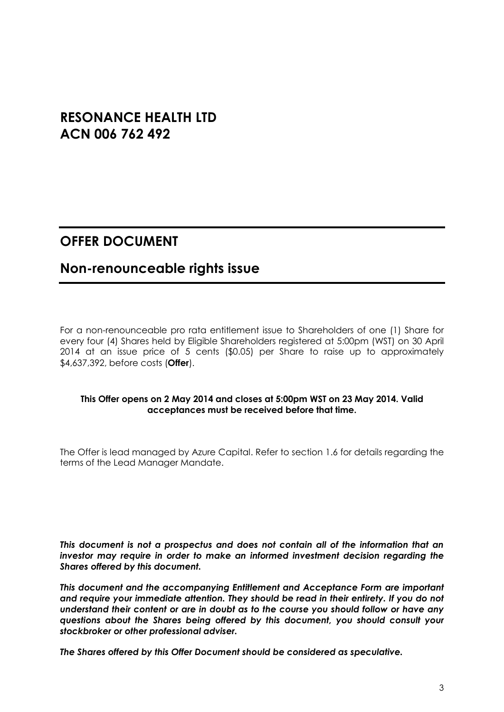# **RESONANCE HEALTH LTD ACN 006 762 492**

# **OFFER DOCUMENT**

# **Non-renounceable rights issue**

For a non-renounceable pro rata entitlement issue to Shareholders of one (1) Share for every four (4) Shares held by Eligible Shareholders registered at 5:00pm (WST) on 30 April 2014 at an issue price of 5 cents (\$0.05) per Share to raise up to approximately \$4,637,392, before costs (**Offer**).

#### **This Offer opens on 2 May 2014 and closes at 5:00pm WST on 23 May 2014. Valid acceptances must be received before that time.**

The Offer is lead managed by Azure Capital. Refer to section 1.6 for details regarding the terms of the Lead Manager Mandate.

*This document is not a prospectus and does not contain all of the information that an investor may require in order to make an informed investment decision regarding the Shares offered by this document.* 

*This document and the accompanying Entitlement and Acceptance Form are important and require your immediate attention. They should be read in their entirety. If you do not understand their content or are in doubt as to the course you should follow or have any questions about the Shares being offered by this document, you should consult your stockbroker or other professional adviser.*

*The Shares offered by this Offer Document should be considered as speculative.*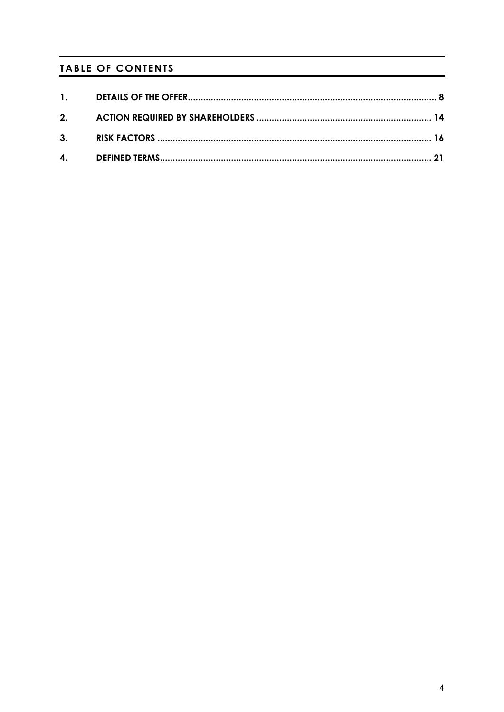## **TABLE OF CONTENTS**

| 1. |  |
|----|--|
| 2. |  |
| 3. |  |
|    |  |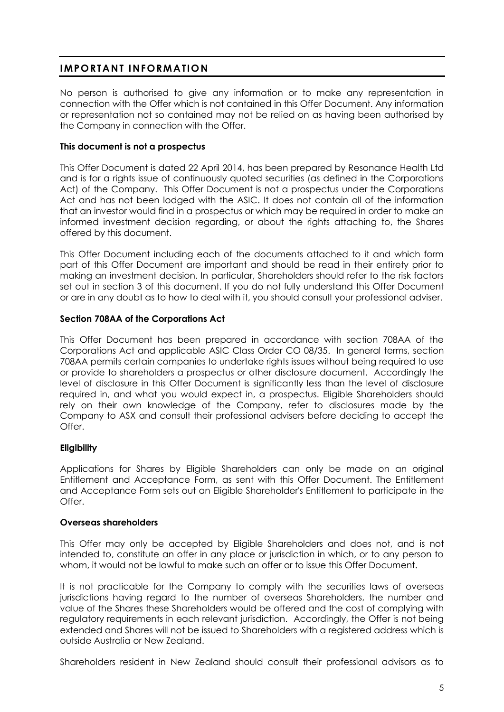## **IMPORTANT INFORMATION**

No person is authorised to give any information or to make any representation in connection with the Offer which is not contained in this Offer Document. Any information or representation not so contained may not be relied on as having been authorised by the Company in connection with the Offer.

### **This document is not a prospectus**

This Offer Document is dated 22 April 2014, has been prepared by Resonance Health Ltd and is for a rights issue of continuously quoted securities (as defined in the Corporations Act) of the Company. This Offer Document is not a prospectus under the Corporations Act and has not been lodged with the ASIC. It does not contain all of the information that an investor would find in a prospectus or which may be required in order to make an informed investment decision regarding, or about the rights attaching to, the Shares offered by this document.

This Offer Document including each of the documents attached to it and which form part of this Offer Document are important and should be read in their entirety prior to making an investment decision. In particular, Shareholders should refer to the risk factors set out in section 3 of this document. If you do not fully understand this Offer Document or are in any doubt as to how to deal with it, you should consult your professional adviser.

### **Section 708AA of the Corporations Act**

This Offer Document has been prepared in accordance with section 708AA of the Corporations Act and applicable ASIC Class Order CO 08/35. In general terms, section 708AA permits certain companies to undertake rights issues without being required to use or provide to shareholders a prospectus or other disclosure document. Accordingly the level of disclosure in this Offer Document is significantly less than the level of disclosure required in, and what you would expect in, a prospectus. Eligible Shareholders should rely on their own knowledge of the Company, refer to disclosures made by the Company to ASX and consult their professional advisers before deciding to accept the Offer.

### **Eligibility**

Applications for Shares by Eligible Shareholders can only be made on an original Entitlement and Acceptance Form, as sent with this Offer Document. The Entitlement and Acceptance Form sets out an Eligible Shareholder's Entitlement to participate in the Offer.

#### **Overseas shareholders**

This Offer may only be accepted by Eligible Shareholders and does not, and is not intended to, constitute an offer in any place or jurisdiction in which, or to any person to whom, it would not be lawful to make such an offer or to issue this Offer Document.

It is not practicable for the Company to comply with the securities laws of overseas jurisdictions having regard to the number of overseas Shareholders, the number and value of the Shares these Shareholders would be offered and the cost of complying with regulatory requirements in each relevant jurisdiction. Accordingly, the Offer is not being extended and Shares will not be issued to Shareholders with a registered address which is outside Australia or New Zealand.

Shareholders resident in New Zealand should consult their professional advisors as to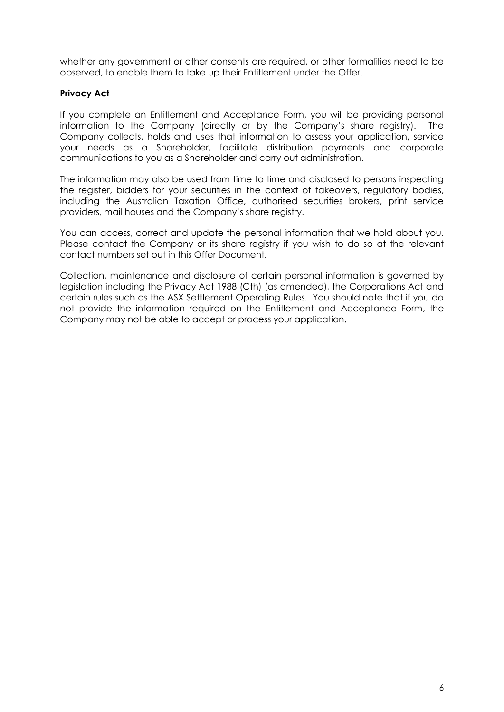whether any government or other consents are required, or other formalities need to be observed, to enable them to take up their Entitlement under the Offer.

#### **Privacy Act**

If you complete an Entitlement and Acceptance Form, you will be providing personal information to the Company (directly or by the Company's share registry). The Company collects, holds and uses that information to assess your application, service your needs as a Shareholder, facilitate distribution payments and corporate communications to you as a Shareholder and carry out administration.

The information may also be used from time to time and disclosed to persons inspecting the register, bidders for your securities in the context of takeovers, regulatory bodies, including the Australian Taxation Office, authorised securities brokers, print service providers, mail houses and the Company's share registry.

You can access, correct and update the personal information that we hold about you. Please contact the Company or its share registry if you wish to do so at the relevant contact numbers set out in this Offer Document.

Collection, maintenance and disclosure of certain personal information is governed by legislation including the Privacy Act 1988 (Cth) (as amended), the Corporations Act and certain rules such as the ASX Settlement Operating Rules. You should note that if you do not provide the information required on the Entitlement and Acceptance Form, the Company may not be able to accept or process your application.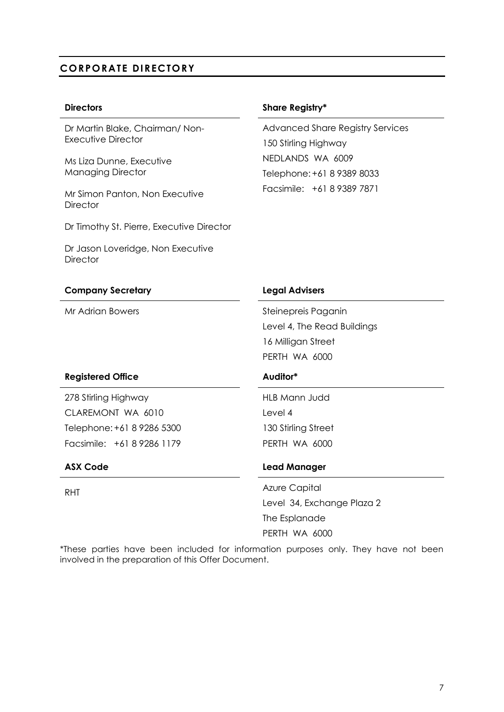## **CORPORATE DIRECTORY**

Dr Martin Blake, Chairman/ Non-Executive Director

Ms Liza Dunne, Executive Managing Director

Mr Simon Panton, Non Executive **Director** 

Dr Timothy St. Pierre, Executive Director

Dr Jason Loveridge, Non Executive **Director** 

#### **Directors Share Registry\***

Advanced Share Registry Services 150 Stirling Highway NEDLANDS WA 6009 Telephone:+61 8 9389 8033 Facsimile: +61 8 9389 7871

| <b>Company Secretary</b>   | <b>Legal Advisers</b>       |
|----------------------------|-----------------------------|
| Mr Adrian Bowers           | Steinepreis Paganin         |
|                            | Level 4, The Read Buildings |
|                            | 16 Milligan Street          |
|                            | PERTH WA 6000               |
| <b>Registered Office</b>   | Auditor*                    |
| 278 Stirling Highway       | <b>HLB Mann Judd</b>        |
| CLAREMONT WA 6010          | Level 4                     |
| Telephone: +61 8 9286 5300 | 130 Stirling Street         |
| Facsimile: +61 8 9286 1179 | PERTH WA 6000               |
| <b>ASX Code</b>            | <b>Lead Manager</b>         |
| <b>RHT</b>                 | <b>Azure Capital</b>        |
|                            | Level 34, Exchange Plaza 2  |
|                            | The Esplanade               |
|                            | PERTH WA 6000               |

\*These parties have been included for information purposes only. They have not been involved in the preparation of this Offer Document.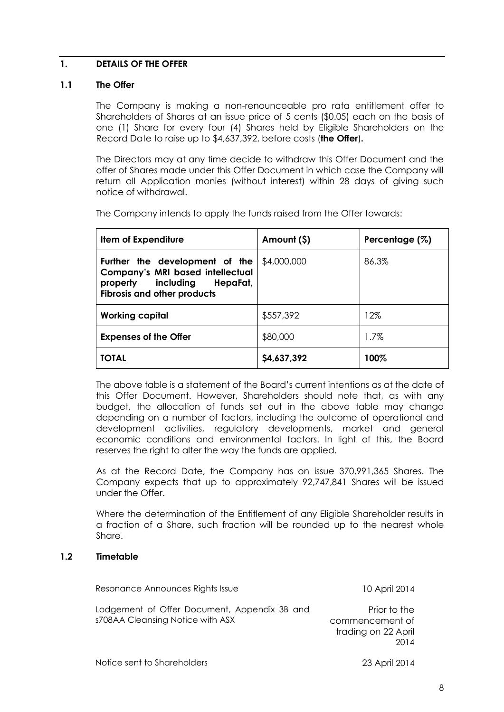#### <span id="page-7-0"></span>**1. DETAILS OF THE OFFER**

#### **1.1 The Offer**

The Company is making a non-renounceable pro rata entitlement offer to Shareholders of Shares at an issue price of 5 cents (\$0.05) each on the basis of one (1) Share for every four (4) Shares held by Eligible Shareholders on the Record Date to raise up to \$4,637,392, before costs (**the Offer**)**.**

The Directors may at any time decide to withdraw this Offer Document and the offer of Shares made under this Offer Document in which case the Company will return all Application monies (without interest) within 28 days of giving such notice of withdrawal.

The Company intends to apply the funds raised from the Offer towards:

| Item of Expenditure                                                                                                                                  | Amount (\$) | Percentage (%) |
|------------------------------------------------------------------------------------------------------------------------------------------------------|-------------|----------------|
| Further the development of the<br><b>Company's MRI based intellectual</b><br>property<br>including<br>HepaFat,<br><b>Fibrosis and other products</b> | \$4,000,000 | 86.3%          |
| <b>Working capital</b>                                                                                                                               | \$557,392   | 12%            |
| <b>Expenses of the Offer</b>                                                                                                                         | \$80,000    | $1.7\%$        |
| <b>TOTAL</b>                                                                                                                                         | \$4,637,392 | 100%           |

The above table is a statement of the Board's current intentions as at the date of this Offer Document. However, Shareholders should note that, as with any budget, the allocation of funds set out in the above table may change depending on a number of factors, including the outcome of operational and development activities, regulatory developments, market and general economic conditions and environmental factors. In light of this, the Board reserves the right to alter the way the funds are applied.

As at the Record Date, the Company has on issue 370,991,365 Shares. The Company expects that up to approximately 92,747,841 Shares will be issued under the Offer.

Where the determination of the Entitlement of any Eligible Shareholder results in a fraction of a Share, such fraction will be rounded up to the nearest whole Share.

#### **1.2 Timetable**

| Resonance Announces Rights Issue                                                 | 10 April 2014                                                  |
|----------------------------------------------------------------------------------|----------------------------------------------------------------|
| Lodgement of Offer Document, Appendix 3B and<br>s708AA Cleansing Notice with ASX | Prior to the<br>commencement of<br>trading on 22 April<br>2014 |
| Notice sent to Shareholders                                                      | 23 April 2014                                                  |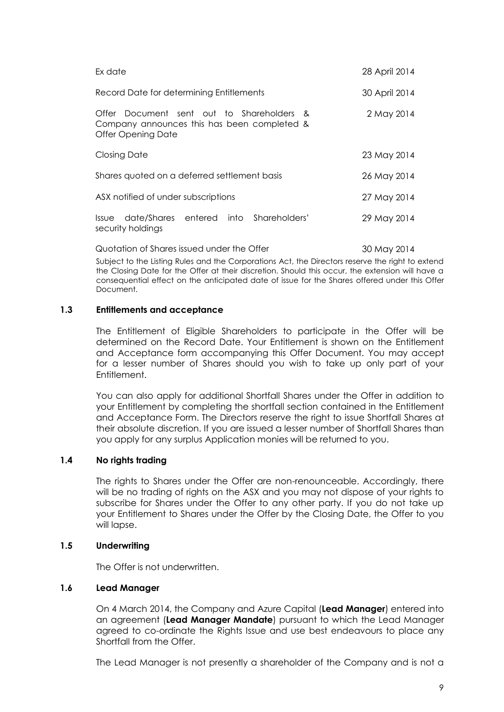| Ex date                                                                                                        | 28 April 2014 |
|----------------------------------------------------------------------------------------------------------------|---------------|
| Record Date for determining Entitlements                                                                       | 30 April 2014 |
| Offer Document sent out to Shareholders &<br>Company announces this has been completed &<br>Offer Opening Date | 2 May 2014    |
| <b>Closing Date</b>                                                                                            | 23 May 2014   |
| Shares quoted on a deferred settlement basis                                                                   | 26 May 2014   |
| ASX notified of under subscriptions                                                                            | 27 May 2014   |
| date/Shares entered into Shareholders'<br>Issue<br>security holdings                                           | 29 May 2014   |
| Quotation of Shares issued under the Offer                                                                     | 30 May 2014   |

Subject to the Listing Rules and the Corporations Act, the Directors reserve the right to extend the Closing Date for the Offer at their discretion. Should this occur, the extension will have a consequential effect on the anticipated date of issue for the Shares offered under this Offer Document.

#### **1.3 Entitlements and acceptance**

The Entitlement of Eligible Shareholders to participate in the Offer will be determined on the Record Date. Your Entitlement is shown on the Entitlement and Acceptance form accompanying this Offer Document. You may accept for a lesser number of Shares should you wish to take up only part of your Entitlement.

You can also apply for additional Shortfall Shares under the Offer in addition to your Entitlement by completing the shortfall section contained in the Entitlement and Acceptance Form. The Directors reserve the right to issue Shortfall Shares at their absolute discretion. If you are issued a lesser number of Shortfall Shares than you apply for any surplus Application monies will be returned to you.

#### **1.4 No rights trading**

The rights to Shares under the Offer are non-renounceable. Accordingly, there will be no trading of rights on the ASX and you may not dispose of your rights to subscribe for Shares under the Offer to any other party. If you do not take up your Entitlement to Shares under the Offer by the Closing Date, the Offer to you will lapse.

#### **1.5 Underwriting**

The Offer is not underwritten.

#### **1.6 Lead Manager**

On 4 March 2014, the Company and Azure Capital (**Lead Manager**) entered into an agreement (**Lead Manager Mandate**) pursuant to which the Lead Manager agreed to co-ordinate the Rights Issue and use best endeavours to place any Shortfall from the Offer.

The Lead Manager is not presently a shareholder of the Company and is not a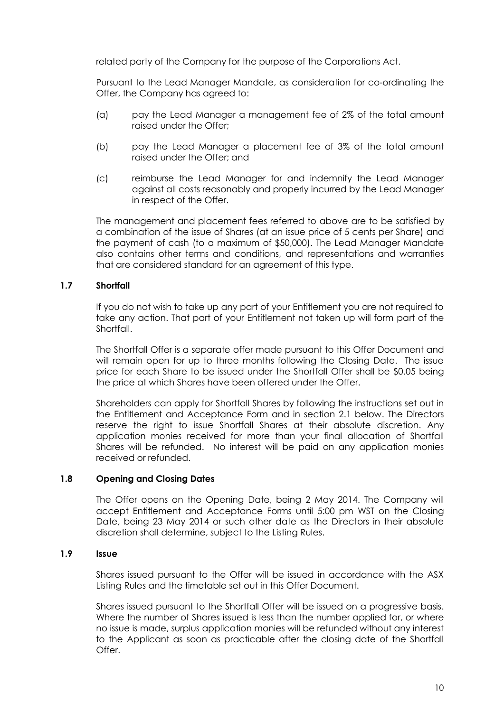related party of the Company for the purpose of the Corporations Act.

Pursuant to the Lead Manager Mandate, as consideration for co-ordinating the Offer, the Company has agreed to:

- (a) pay the Lead Manager a management fee of 2% of the total amount raised under the Offer;
- (b) pay the Lead Manager a placement fee of 3% of the total amount raised under the Offer; and
- (c) reimburse the Lead Manager for and indemnify the Lead Manager against all costs reasonably and properly incurred by the Lead Manager in respect of the Offer.

The management and placement fees referred to above are to be satisfied by a combination of the issue of Shares (at an issue price of 5 cents per Share) and the payment of cash (to a maximum of \$50,000). The Lead Manager Mandate also contains other terms and conditions, and representations and warranties that are considered standard for an agreement of this type.

### **1.7 Shortfall**

If you do not wish to take up any part of your Entitlement you are not required to take any action. That part of your Entitlement not taken up will form part of the **Shortfall** 

The Shortfall Offer is a separate offer made pursuant to this Offer Document and will remain open for up to three months following the Closing Date. The issue price for each Share to be issued under the Shortfall Offer shall be \$0.05 being the price at which Shares have been offered under the Offer.

Shareholders can apply for Shortfall Shares by following the instructions set out in the Entitlement and Acceptance Form and in section 2.1 below. The Directors reserve the right to issue Shortfall Shares at their absolute discretion. Any application monies received for more than your final allocation of Shortfall Shares will be refunded. No interest will be paid on any application monies received or refunded.

#### **1.8 Opening and Closing Dates**

The Offer opens on the Opening Date, being 2 May 2014. The Company will accept Entitlement and Acceptance Forms until 5:00 pm WST on the Closing Date, being 23 May 2014 or such other date as the Directors in their absolute discretion shall determine, subject to the Listing Rules.

#### **1.9 Issue**

Shares issued pursuant to the Offer will be issued in accordance with the ASX Listing Rules and the timetable set out in this Offer Document.

Shares issued pursuant to the Shortfall Offer will be issued on a progressive basis. Where the number of Shares issued is less than the number applied for, or where no issue is made, surplus application monies will be refunded without any interest to the Applicant as soon as practicable after the closing date of the Shortfall Offer.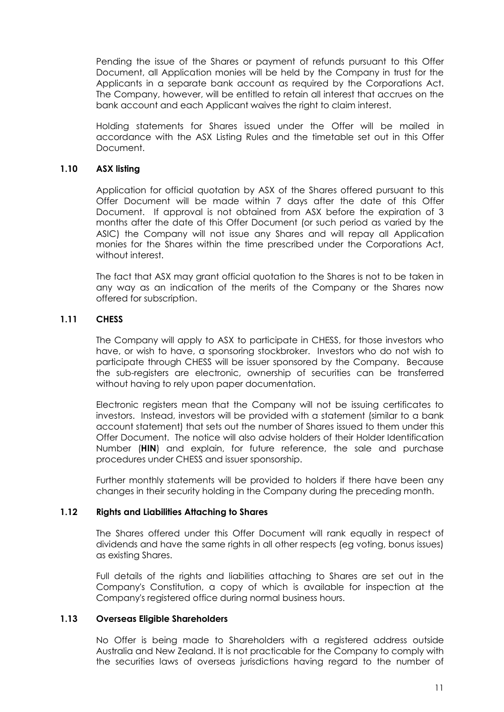Pending the issue of the Shares or payment of refunds pursuant to this Offer Document, all Application monies will be held by the Company in trust for the Applicants in a separate bank account as required by the Corporations Act. The Company, however, will be entitled to retain all interest that accrues on the bank account and each Applicant waives the right to claim interest.

Holding statements for Shares issued under the Offer will be mailed in accordance with the ASX Listing Rules and the timetable set out in this Offer Document.

#### **1.10 ASX listing**

Application for official quotation by ASX of the Shares offered pursuant to this Offer Document will be made within 7 days after the date of this Offer Document. If approval is not obtained from ASX before the expiration of 3 months after the date of this Offer Document (or such period as varied by the ASIC) the Company will not issue any Shares and will repay all Application monies for the Shares within the time prescribed under the Corporations Act, without interest.

The fact that ASX may grant official quotation to the Shares is not to be taken in any way as an indication of the merits of the Company or the Shares now offered for subscription.

### **1.11 CHESS**

The Company will apply to ASX to participate in CHESS, for those investors who have, or wish to have, a sponsoring stockbroker. Investors who do not wish to participate through CHESS will be issuer sponsored by the Company. Because the sub-registers are electronic, ownership of securities can be transferred without having to rely upon paper documentation.

Electronic registers mean that the Company will not be issuing certificates to investors. Instead, investors will be provided with a statement (similar to a bank account statement) that sets out the number of Shares issued to them under this Offer Document. The notice will also advise holders of their Holder Identification Number (**HIN**) and explain, for future reference, the sale and purchase procedures under CHESS and issuer sponsorship.

Further monthly statements will be provided to holders if there have been any changes in their security holding in the Company during the preceding month.

#### **1.12 Rights and Liabilities Attaching to Shares**

The Shares offered under this Offer Document will rank equally in respect of dividends and have the same rights in all other respects (eg voting, bonus issues) as existing Shares.

Full details of the rights and liabilities attaching to Shares are set out in the Company's Constitution, a copy of which is available for inspection at the Company's registered office during normal business hours.

#### **1.13 Overseas Eligible Shareholders**

No Offer is being made to Shareholders with a registered address outside Australia and New Zealand. It is not practicable for the Company to comply with the securities laws of overseas jurisdictions having regard to the number of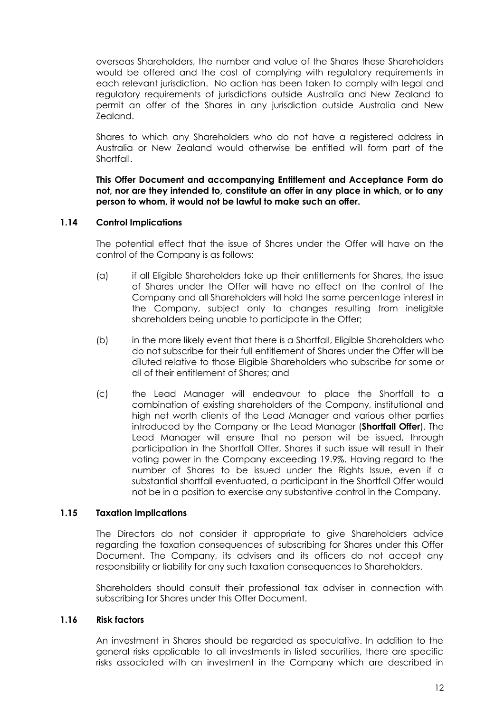overseas Shareholders, the number and value of the Shares these Shareholders would be offered and the cost of complying with regulatory requirements in each relevant jurisdiction. No action has been taken to comply with legal and regulatory requirements of jurisdictions outside Australia and New Zealand to permit an offer of the Shares in any jurisdiction outside Australia and New Zealand.

Shares to which any Shareholders who do not have a registered address in Australia or New Zealand would otherwise be entitled will form part of the Shortfall.

**This Offer Document and accompanying Entitlement and Acceptance Form do not, nor are they intended to, constitute an offer in any place in which, or to any person to whom, it would not be lawful to make such an offer.**

#### **1.14 Control Implications**

The potential effect that the issue of Shares under the Offer will have on the control of the Company is as follows:

- (a) if all Eligible Shareholders take up their entitlements for Shares, the issue of Shares under the Offer will have no effect on the control of the Company and all Shareholders will hold the same percentage interest in the Company, subject only to changes resulting from ineligible shareholders being unable to participate in the Offer;
- (b) in the more likely event that there is a Shortfall, Eligible Shareholders who do not subscribe for their full entitlement of Shares under the Offer will be diluted relative to those Eligible Shareholders who subscribe for some or all of their entitlement of Shares; and
- (c) the Lead Manager will endeavour to place the Shortfall to a combination of existing shareholders of the Company, institutional and high net worth clients of the Lead Manager and various other parties introduced by the Company or the Lead Manager (**Shortfall Offer**). The Lead Manager will ensure that no person will be issued, through participation in the Shortfall Offer, Shares if such issue will result in their voting power in the Company exceeding 19.9%. Having regard to the number of Shares to be issued under the Rights Issue, even if a substantial shortfall eventuated, a participant in the Shortfall Offer would not be in a position to exercise any substantive control in the Company.

#### **1.15 Taxation implications**

The Directors do not consider it appropriate to give Shareholders advice regarding the taxation consequences of subscribing for Shares under this Offer Document. The Company, its advisers and its officers do not accept any responsibility or liability for any such taxation consequences to Shareholders.

Shareholders should consult their professional tax adviser in connection with subscribing for Shares under this Offer Document.

#### **1.16 Risk factors**

An investment in Shares should be regarded as speculative. In addition to the general risks applicable to all investments in listed securities, there are specific risks associated with an investment in the Company which are described in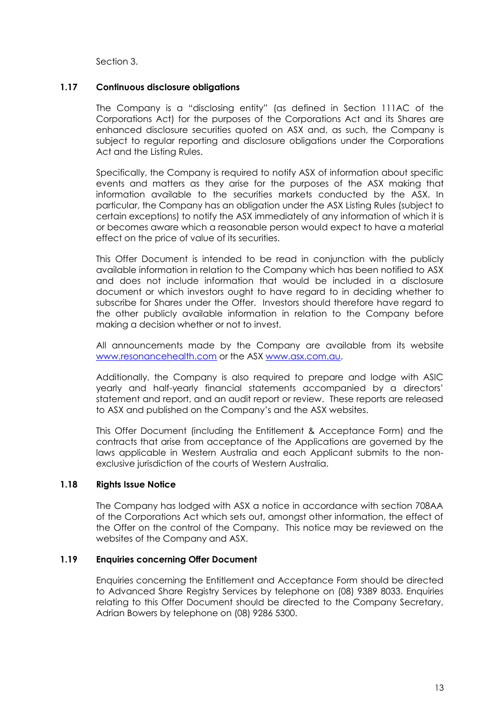Section 3.

#### **1.17 Continuous disclosure obligations**

The Company is a "disclosing entity" (as defined in Section 111AC of the Corporations Act) for the purposes of the Corporations Act and its Shares are enhanced disclosure securities quoted on ASX and, as such, the Company is subject to regular reporting and disclosure obligations under the Corporations Act and the Listing Rules.

Specifically, the Company is required to notify ASX of information about specific events and matters as they arise for the purposes of the ASX making that information available to the securities markets conducted by the ASX. In particular, the Company has an obligation under the ASX Listing Rules (subject to certain exceptions) to notify the ASX immediately of any information of which it is or becomes aware which a reasonable person would expect to have a material effect on the price of value of its securities.

This Offer Document is intended to be read in conjunction with the publicly available information in relation to the Company which has been notified to ASX and does not include information that would be included in a disclosure document or which investors ought to have regard to in deciding whether to subscribe for Shares under the Offer. Investors should therefore have regard to the other publicly available information in relation to the Company before making a decision whether or not to invest.

All announcements made by the Company are available from its website www.resonancehealth.com or the ASX [www.asx.com.au.](http://www.asx.com.au/)

Additionally, the Company is also required to prepare and lodge with ASIC yearly and half-yearly financial statements accompanied by a directors' statement and report, and an audit report or review. These reports are released to ASX and published on the Company's and the ASX websites.

This Offer Document (including the Entitlement & Acceptance Form) and the contracts that arise from acceptance of the Applications are governed by the laws applicable in Western Australia and each Applicant submits to the nonexclusive jurisdiction of the courts of Western Australia.

#### **1.18 Rights Issue Notice**

The Company has lodged with ASX a notice in accordance with section 708AA of the Corporations Act which sets out, amongst other information, the effect of the Offer on the control of the Company. This notice may be reviewed on the websites of the Company and ASX.

#### **1.19 Enquiries concerning Offer Document**

Enquiries concerning the Entitlement and Acceptance Form should be directed to Advanced Share Registry Services by telephone on (08) 9389 8033. Enquiries relating to this Offer Document should be directed to the Company Secretary, Adrian Bowers by telephone on (08) 9286 5300.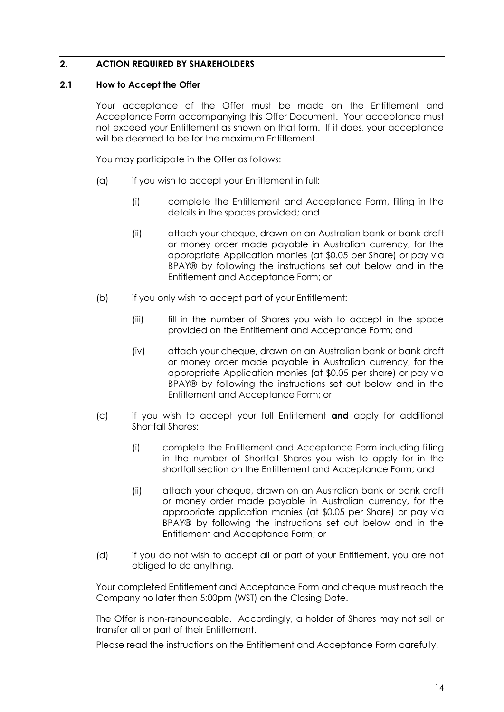### <span id="page-13-0"></span>**2. ACTION REQUIRED BY SHAREHOLDERS**

#### **2.1 How to Accept the Offer**

Your acceptance of the Offer must be made on the Entitlement and Acceptance Form accompanying this Offer Document. Your acceptance must not exceed your Entitlement as shown on that form. If it does, your acceptance will be deemed to be for the maximum Entitlement.

You may participate in the Offer as follows:

- (a) if you wish to accept your Entitlement in full:
	- (i) complete the Entitlement and Acceptance Form, filling in the details in the spaces provided; and
	- (ii) attach your cheque, drawn on an Australian bank or bank draft or money order made payable in Australian currency, for the appropriate Application monies (at \$0.05 per Share) or pay via BPAY® by following the instructions set out below and in the Entitlement and Acceptance Form; or
- (b) if you only wish to accept part of your Entitlement:
	- (iii) fill in the number of Shares you wish to accept in the space provided on the Entitlement and Acceptance Form; and
	- (iv) attach your cheque, drawn on an Australian bank or bank draft or money order made payable in Australian currency, for the appropriate Application monies (at \$0.05 per share) or pay via BPAY® by following the instructions set out below and in the Entitlement and Acceptance Form; or
- (c) if you wish to accept your full Entitlement **and** apply for additional Shortfall Shares:
	- (i) complete the Entitlement and Acceptance Form including filling in the number of Shortfall Shares you wish to apply for in the shortfall section on the Entitlement and Acceptance Form; and
	- (ii) attach your cheque, drawn on an Australian bank or bank draft or money order made payable in Australian currency, for the appropriate application monies (at \$0.05 per Share) or pay via BPAY® by following the instructions set out below and in the Entitlement and Acceptance Form; or
- (d) if you do not wish to accept all or part of your Entitlement, you are not obliged to do anything.

Your completed Entitlement and Acceptance Form and cheque must reach the Company no later than 5:00pm (WST) on the Closing Date.

The Offer is non-renounceable. Accordingly, a holder of Shares may not sell or transfer all or part of their Entitlement.

Please read the instructions on the Entitlement and Acceptance Form carefully.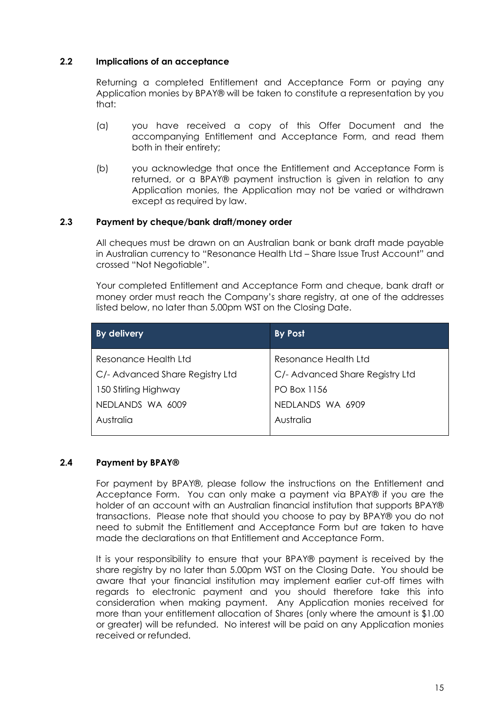### **2.2 Implications of an acceptance**

Returning a completed Entitlement and Acceptance Form or paying any Application monies by BPAY® will be taken to constitute a representation by you that:

- (a) you have received a copy of this Offer Document and the accompanying Entitlement and Acceptance Form, and read them both in their entirety;
- (b) you acknowledge that once the Entitlement and Acceptance Form is returned, or a BPAY® payment instruction is given in relation to any Application monies, the Application may not be varied or withdrawn except as required by law.

### **2.3 Payment by cheque/bank draft/money order**

All cheques must be drawn on an Australian bank or bank draft made payable in Australian currency to "Resonance Health Ltd – Share Issue Trust Account" and crossed "Not Negotiable".

Your completed Entitlement and Acceptance Form and cheque, bank draft or money order must reach the Company's share registry, at one of the addresses listed below, no later than 5.00pm WST on the Closing Date.

| <b>By delivery</b>              | By Post                         |
|---------------------------------|---------------------------------|
| Resonance Health Ltd            | Resonance Health Ltd            |
| C/- Advanced Share Registry Ltd | C/- Advanced Share Registry Ltd |
| 150 Stirling Highway            | <b>PO Box 1156</b>              |
| NEDLANDS WA 6009                | NEDLANDS WA 6909                |
| Australia                       | Australia                       |
|                                 |                                 |

#### **2.4 Payment by BPAY®**

For payment by BPAY®, please follow the instructions on the Entitlement and Acceptance Form. You can only make a payment via BPAY® if you are the holder of an account with an Australian financial institution that supports BPAY® transactions. Please note that should you choose to pay by BPAY® you do not need to submit the Entitlement and Acceptance Form but are taken to have made the declarations on that Entitlement and Acceptance Form.

It is your responsibility to ensure that your BPAY® payment is received by the share registry by no later than 5.00pm WST on the Closing Date. You should be aware that your financial institution may implement earlier cut-off times with regards to electronic payment and you should therefore take this into consideration when making payment. Any Application monies received for more than your entitlement allocation of Shares (only where the amount is \$1.00 or greater) will be refunded. No interest will be paid on any Application monies received or refunded.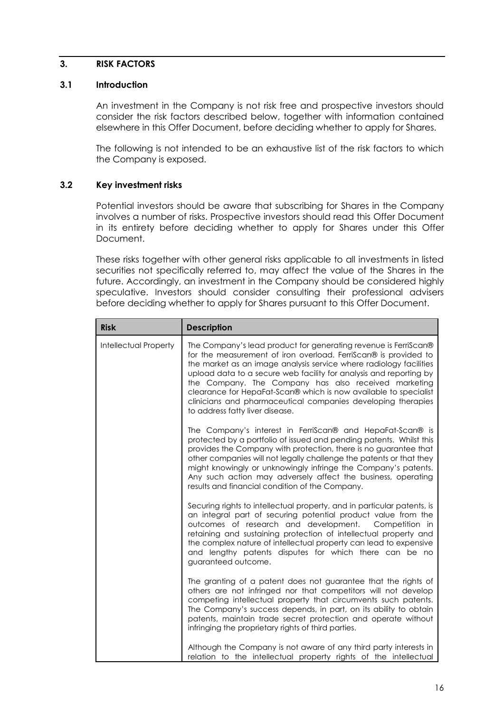#### <span id="page-15-0"></span>**3. RISK FACTORS**

#### **3.1 Introduction**

An investment in the Company is not risk free and prospective investors should consider the risk factors described below, together with information contained elsewhere in this Offer Document, before deciding whether to apply for Shares.

The following is not intended to be an exhaustive list of the risk factors to which the Company is exposed.

### **3.2 Key investment risks**

Potential investors should be aware that subscribing for Shares in the Company involves a number of risks. Prospective investors should read this Offer Document in its entirety before deciding whether to apply for Shares under this Offer Document.

These risks together with other general risks applicable to all investments in listed securities not specifically referred to, may affect the value of the Shares in the future. Accordingly, an investment in the Company should be considered highly speculative. Investors should consider consulting their professional advisers before deciding whether to apply for Shares pursuant to this Offer Document.

| <b>Risk</b>                  | <b>Description</b>                                                                                                                                                                                                                                                                                                                                                                                                                                                                                            |
|------------------------------|---------------------------------------------------------------------------------------------------------------------------------------------------------------------------------------------------------------------------------------------------------------------------------------------------------------------------------------------------------------------------------------------------------------------------------------------------------------------------------------------------------------|
| <b>Intellectual Property</b> | The Company's lead product for generating revenue is FerriScan®<br>for the measurement of iron overload. FerriScan® is provided to<br>the market as an image analysis service where radiology facilities<br>upload data to a secure web facility for analysis and reporting by<br>the Company. The Company has also received marketing<br>clearance for HepaFat-Scan® which is now available to specialist<br>clinicians and pharmaceutical companies developing therapies<br>to address fatty liver disease. |
|                              | The Company's interest in FerriScan® and HepaFat-Scan® is<br>protected by a portfolio of issued and pending patents. Whilst this<br>provides the Company with protection, there is no guarantee that<br>other companies will not legally challenge the patents or that they<br>might knowingly or unknowingly infringe the Company's patents.<br>Any such action may adversely affect the business, operating<br>results and financial condition of the Company.                                              |
|                              | Securing rights to intellectual property, and in particular patents, is<br>an integral part of securing potential product value from the<br>outcomes of research and development. Competition in<br>retaining and sustaining protection of intellectual property and<br>the complex nature of intellectual property can lead to expensive<br>and lengthy patents disputes for which there can be no<br>guaranteed outcome.                                                                                    |
|                              | The granting of a patent does not guarantee that the rights of<br>others are not infringed nor that competitors will not develop<br>competing intellectual property that circumvents such patents.<br>The Company's success depends, in part, on its ability to obtain<br>patents, maintain trade secret protection and operate without<br>infringing the proprietary rights of third parties.                                                                                                                |
|                              | Although the Company is not aware of any third party interests in<br>relation to the intellectual property rights of the intellectual                                                                                                                                                                                                                                                                                                                                                                         |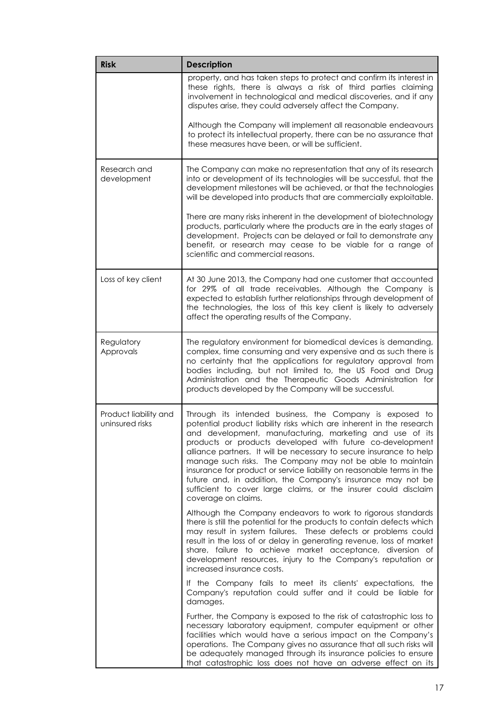| <b>Risk</b>                              | <b>Description</b>                                                                                                                                                                                                                                                                                                                                                                                                                                                                                                                                                                                                               |
|------------------------------------------|----------------------------------------------------------------------------------------------------------------------------------------------------------------------------------------------------------------------------------------------------------------------------------------------------------------------------------------------------------------------------------------------------------------------------------------------------------------------------------------------------------------------------------------------------------------------------------------------------------------------------------|
|                                          | property, and has taken steps to protect and confirm its interest in<br>these rights, there is always a risk of third parties claiming<br>involvement in technological and medical discoveries, and if any<br>disputes arise, they could adversely affect the Company.                                                                                                                                                                                                                                                                                                                                                           |
|                                          | Although the Company will implement all reasonable endeavours<br>to protect its intellectual property, there can be no assurance that<br>these measures have been, or will be sufficient.                                                                                                                                                                                                                                                                                                                                                                                                                                        |
| Research and<br>development              | The Company can make no representation that any of its research<br>into or development of its technologies will be successful, that the<br>development milestones will be achieved, or that the technologies<br>will be developed into products that are commercially exploitable.                                                                                                                                                                                                                                                                                                                                               |
|                                          | There are many risks inherent in the development of biotechnology<br>products, particularly where the products are in the early stages of<br>development. Projects can be delayed or fail to demonstrate any<br>benefit, or research may cease to be viable for a range of<br>scientific and commercial reasons.                                                                                                                                                                                                                                                                                                                 |
| Loss of key client                       | At 30 June 2013, the Company had one customer that accounted<br>for 29% of all trade receivables. Although the Company is<br>expected to establish further relationships through development of<br>the technologies, the loss of this key client is likely to adversely<br>affect the operating results of the Company.                                                                                                                                                                                                                                                                                                          |
| Regulatory<br>Approvals                  | The regulatory environment for biomedical devices is demanding,<br>complex, time consuming and very expensive and as such there is<br>no certainty that the applications for regulatory approval from<br>bodies including, but not limited to, the US Food and Drug<br>Administration and the Therapeutic Goods Administration for<br>products developed by the Company will be successful.                                                                                                                                                                                                                                      |
| Product liability and<br>uninsured risks | Through its intended business, the Company is exposed to<br>potential product liability risks which are inherent in the research<br>and development, manufacturing, marketing and use of its<br>products or products developed with future co-development<br>alliance partners. It will be necessary to secure insurance to help<br>manage such risks. The Company may not be able to maintain<br>insurance for product or service liability on reasonable terms in the<br>future and, in addition, the Company's insurance may not be<br>sufficient to cover large claims, or the insurer could disclaim<br>coverage on claims. |
|                                          | Although the Company endeavors to work to rigorous standards<br>there is still the potential for the products to contain defects which<br>may result in system failures. These defects or problems could<br>result in the loss of or delay in generating revenue, loss of market<br>share, failure to achieve market acceptance, diversion of<br>development resources, injury to the Company's reputation or<br>increased insurance costs.                                                                                                                                                                                      |
|                                          | If the Company fails to meet its clients' expectations, the<br>Company's reputation could suffer and it could be liable for<br>damages.                                                                                                                                                                                                                                                                                                                                                                                                                                                                                          |
|                                          | Further, the Company is exposed to the risk of catastrophic loss to<br>necessary laboratory equipment, computer equipment or other<br>facilities which would have a serious impact on the Company's<br>operations. The Company gives no assurance that all such risks will<br>be adequately managed through its insurance policies to ensure<br>that catastrophic loss does not have an adverse effect on its                                                                                                                                                                                                                    |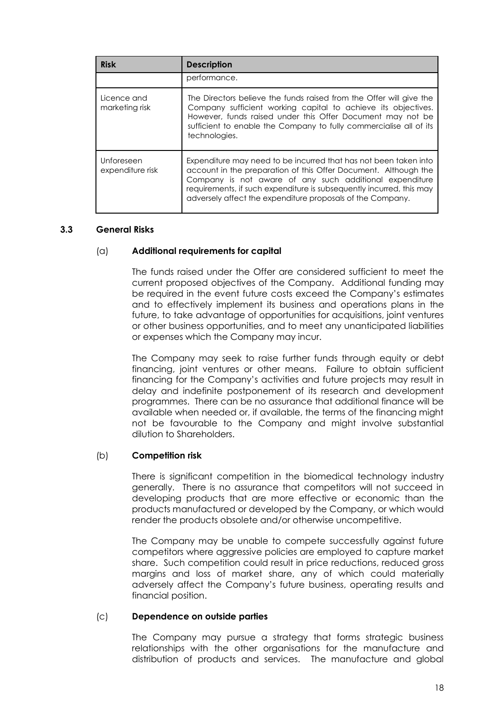| <b>Risk</b>                    | <b>Description</b>                                                                                                                                                                                                                                                                                                                   |
|--------------------------------|--------------------------------------------------------------------------------------------------------------------------------------------------------------------------------------------------------------------------------------------------------------------------------------------------------------------------------------|
|                                | performance.                                                                                                                                                                                                                                                                                                                         |
| Licence and<br>marketing risk  | The Directors believe the funds raised from the Offer will give the<br>Company sufficient working capital to achieve its objectives.<br>However, funds raised under this Offer Document may not be<br>sufficient to enable the Company to fully commercialise all of its<br>technologies.                                            |
| Unforeseen<br>expenditure risk | Expenditure may need to be incurred that has not been taken into<br>account in the preparation of this Offer Document. Although the<br>Company is not aware of any such additional expenditure<br>requirements, if such expenditure is subsequently incurred, this may<br>adversely affect the expenditure proposals of the Company. |

#### **3.3 General Risks**

#### (a) **Additional requirements for capital**

The funds raised under the Offer are considered sufficient to meet the current proposed objectives of the Company. Additional funding may be required in the event future costs exceed the Company's estimates and to effectively implement its business and operations plans in the future, to take advantage of opportunities for acquisitions, joint ventures or other business opportunities, and to meet any unanticipated liabilities or expenses which the Company may incur.

The Company may seek to raise further funds through equity or debt financing, joint ventures or other means. Failure to obtain sufficient financing for the Company's activities and future projects may result in delay and indefinite postponement of its research and development programmes. There can be no assurance that additional finance will be available when needed or, if available, the terms of the financing might not be favourable to the Company and might involve substantial dilution to Shareholders.

#### (b) **Competition risk**

There is significant competition in the biomedical technology industry generally. There is no assurance that competitors will not succeed in developing products that are more effective or economic than the products manufactured or developed by the Company, or which would render the products obsolete and/or otherwise uncompetitive.

The Company may be unable to compete successfully against future competitors where aggressive policies are employed to capture market share. Such competition could result in price reductions, reduced gross margins and loss of market share, any of which could materially adversely affect the Company's future business, operating results and financial position.

#### (c) **Dependence on outside parties**

The Company may pursue a strategy that forms strategic business relationships with the other organisations for the manufacture and distribution of products and services. The manufacture and global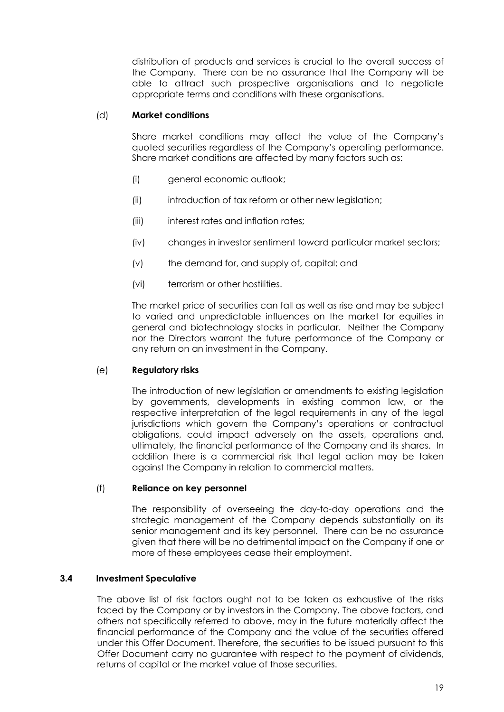distribution of products and services is crucial to the overall success of the Company. There can be no assurance that the Company will be able to attract such prospective organisations and to negotiate appropriate terms and conditions with these organisations.

### (d) **Market conditions**

Share market conditions may affect the value of the Company's quoted securities regardless of the Company's operating performance. Share market conditions are affected by many factors such as:

- (i) general economic outlook;
- (ii) introduction of tax reform or other new legislation;
- (iii) interest rates and inflation rates;
- (iv) changes in investor sentiment toward particular market sectors;
- (v) the demand for, and supply of, capital; and
- (vi) terrorism or other hostilities.

The market price of securities can fall as well as rise and may be subject to varied and unpredictable influences on the market for equities in general and biotechnology stocks in particular. Neither the Company nor the Directors warrant the future performance of the Company or any return on an investment in the Company.

#### (e) **Regulatory risks**

The introduction of new legislation or amendments to existing legislation by governments, developments in existing common law, or the respective interpretation of the legal requirements in any of the legal jurisdictions which govern the Company's operations or contractual obligations, could impact adversely on the assets, operations and, ultimately, the financial performance of the Company and its shares. In addition there is a commercial risk that legal action may be taken against the Company in relation to commercial matters.

#### (f) **Reliance on key personnel**

The responsibility of overseeing the day-to-day operations and the strategic management of the Company depends substantially on its senior management and its key personnel. There can be no assurance given that there will be no detrimental impact on the Company if one or more of these employees cease their employment.

#### **3.4 Investment Speculative**

The above list of risk factors ought not to be taken as exhaustive of the risks faced by the Company or by investors in the Company. The above factors, and others not specifically referred to above, may in the future materially affect the financial performance of the Company and the value of the securities offered under this Offer Document. Therefore, the securities to be issued pursuant to this Offer Document carry no guarantee with respect to the payment of dividends, returns of capital or the market value of those securities.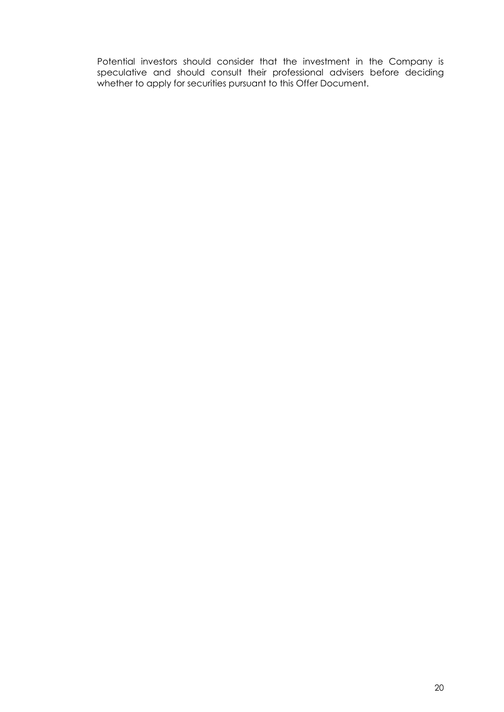Potential investors should consider that the investment in the Company is speculative and should consult their professional advisers before deciding whether to apply for securities pursuant to this Offer Document.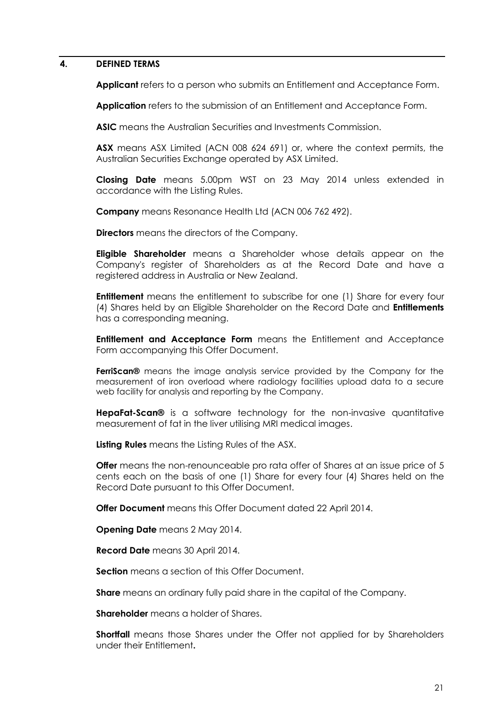#### <span id="page-20-0"></span>**4. DEFINED TERMS**

**Applicant** refers to a person who submits an Entitlement and Acceptance Form.

**Application** refers to the submission of an Entitlement and Acceptance Form.

**ASIC** means the Australian Securities and Investments Commission.

**ASX** means ASX Limited (ACN 008 624 691) or, where the context permits, the Australian Securities Exchange operated by ASX Limited.

**Closing Date** means 5.00pm WST on 23 May 2014 unless extended in accordance with the Listing Rules.

**Company** means Resonance Health Ltd (ACN 006 762 492).

**Directors** means the directors of the Company.

**Eligible Shareholder** means a Shareholder whose details appear on the Company's register of Shareholders as at the Record Date and have a registered address in Australia or New Zealand.

**Entitlement** means the entitlement to subscribe for one (1) Share for every four (4) Shares held by an Eligible Shareholder on the Record Date and **Entitlements** has a corresponding meaning.

**Entitlement and Acceptance Form** means the Entitlement and Acceptance Form accompanying this Offer Document.

**FerriScan®** means the image analysis service provided by the Company for the measurement of iron overload where radiology facilities upload data to a secure web facility for analysis and reporting by the Company.

**HepaFat-Scan®** is a software technology for the non-invasive quantitative measurement of fat in the liver utilising MRI medical images.

**Listing Rules** means the Listing Rules of the ASX.

**Offer** means the non-renounceable pro rata offer of Shares at an issue price of 5 cents each on the basis of one (1) Share for every four (4) Shares held on the Record Date pursuant to this Offer Document.

**Offer Document** means this Offer Document dated 22 April 2014.

**Opening Date** means 2 May 2014.

**Record Date** means 30 April 2014.

**Section** means a section of this Offer Document.

**Share** means an ordinary fully paid share in the capital of the Company.

**Shareholder** means a holder of Shares.

**Shortfall** means those Shares under the Offer not applied for by Shareholders under their Entitlement**.**